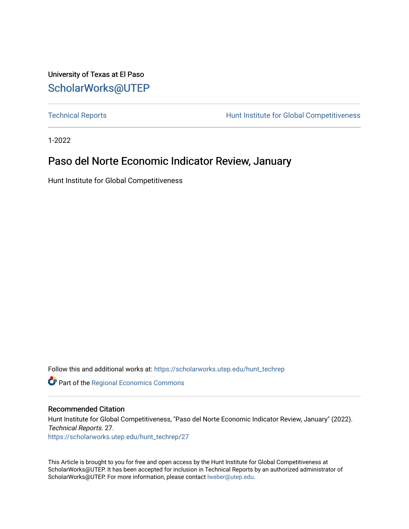University of Texas at El Paso [ScholarWorks@UTEP](https://scholarworks.utep.edu/)

[Technical Reports](https://scholarworks.utep.edu/hunt_techrep) **Hunt Institute for Global Competitiveness** 

1-2022

### Paso del Norte Economic Indicator Review, January

Hunt Institute for Global Competitiveness

Follow this and additional works at: [https://scholarworks.utep.edu/hunt\\_techrep](https://scholarworks.utep.edu/hunt_techrep?utm_source=scholarworks.utep.edu%2Fhunt_techrep%2F27&utm_medium=PDF&utm_campaign=PDFCoverPages)

**Part of the [Regional Economics Commons](http://network.bepress.com/hgg/discipline/1307?utm_source=scholarworks.utep.edu%2Fhunt_techrep%2F27&utm_medium=PDF&utm_campaign=PDFCoverPages)** 

### Recommended Citation

Hunt Institute for Global Competitiveness, "Paso del Norte Economic Indicator Review, January" (2022). Technical Reports. 27.

[https://scholarworks.utep.edu/hunt\\_techrep/27](https://scholarworks.utep.edu/hunt_techrep/27?utm_source=scholarworks.utep.edu%2Fhunt_techrep%2F27&utm_medium=PDF&utm_campaign=PDFCoverPages) 

This Article is brought to you for free and open access by the Hunt Institute for Global Competitiveness at ScholarWorks@UTEP. It has been accepted for inclusion in Technical Reports by an authorized administrator of ScholarWorks@UTEP. For more information, please contact [lweber@utep.edu](mailto:lweber@utep.edu).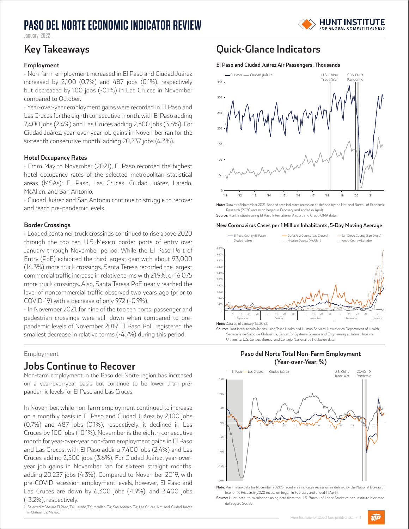## **PASO DEL NORTE ECONOMIC INDICATOR REVIEW**



January 2022

#### **Employment**

• Non-farm employment increased in El Paso and Ciudad Juárez increased by 2,100 (0.7%) and 487 jobs (0.1%), respectively but decreased by 100 jobs (-0.1%) in Las Cruces in November compared to October.

• Year-over-year employment gains were recorded in El Paso and Las Cruces for the eighth consecutive month, with El Paso adding 7,400 jobs (2.4%) and Las Cruces adding 2,500 jobs (3.6%). For Ciudad Juárez, year-over-year job gains in November ran for the sixteenth consecutive month, adding 20,237 jobs (4.3%).

#### **Hotel Occupancy Rates**

• From May to November (2021), El Paso recorded the highest hotel occupancy rates of the selected metropolitan statistical areas (MSAs): El Paso, Las Cruces, Ciudad Juárez, Laredo, McAllen, and San Antonio.

• Ciudad Juárez and San Antonio continue to struggle to recover and reach pre-pandemic levels.

#### **Border Crossings**

• Loaded container truck crossings continued to rise above 2020 through the top ten U.S.-Mexico border ports of entry over January through November period. While the El Paso Port of Entry (PoE) exhibited the third largest gain with about 93,000 (14.3%) more truck crossings, Santa Teresa recorded the largest commercial traffic increase in relative terms with 21.9%, or 16,075 more truck crossings. Also, Santa Teresa PoE nearly reached the level of noncommercial traffic observed two years ago (prior to COVID-19) with a decrease of only 972 (-0.9%).

• In November 2021, for nine of the top ten ports, passenger and pedestrian crossings were still down when compared to prepandemic levels of November 2019. El Paso PoE registered the smallest decrease in relative terms (-4.7%) during this period.

#### Employment

### **Jobs Continue to Recover**

Non-farm employment in the Paso del Norte region has increased on a year-over-year basis but continue to be lower than prepandemic levels for El Paso and Las Cruces.

In November, while non-farm employment continued to increase on a monthly basis in El Paso and Ciudad Juárez by 2,100 jobs (0.7%) and 487 jobs (0.1%), respectively, it declined in Las Cruces by 100 jobs (-0.1%). November is the eighth consecutive month for year-over-year non-farm employment gains in El Paso and Las Cruces, with El Paso adding 7,400 jobs (2.4%) and Las Cruces adding 2,500 jobs (3.6%). For Ciudad Juárez, year-overyear job gains in November ran for sixteen straight months, adding 20,237 jobs (4.3%). Compared to November 2019, with pre-COVID recession employment levels, however, El Paso and Las Cruces are down by 6,300 jobs (-1.9%), and 2,400 jobs (-3.2%), respectively.

1 Selected MSAs are El Paso, TX; Laredo, TX; McAllen, TX; San Antonio, TX; Las Cruces, NM; and, Ciudad Juárez in Chihuahua, Mexico.

### **Key Takeaways Quick-Glance Indicators**

#### **El Paso and Ciudad Juárez Air Passengers, Thousands**



**Note:** Data as of November 2021. Shaded area indicates recession as defined by the National Bureau of Economic Research (2020 recession began in February and ended in April).

**Source:** Hunt Institute using El Paso International Airport and Grupo OMA data.

#### **New Coronavirus Cases per 1 Million Inhabitants, 5-Day Moving Average**



Secretaría de Salud de Chihuahua, Center for Systems Science and Engineering at Johns Hopkins University, U.S. Census Bureau, and Consejo Nacional de Población data





**Note:** Preliminary data for November 2021. Shaded area indicates recession as defined by the National Bureau of Economic Research (2020 recession began in February and ended in April).

**Source:** Hunt Institute calculations using data from the U.S. Bureau of Labor Statistics and Instituto Mexicano del Seguro Social.

 $\widehat{U\mathsf{E}^p}$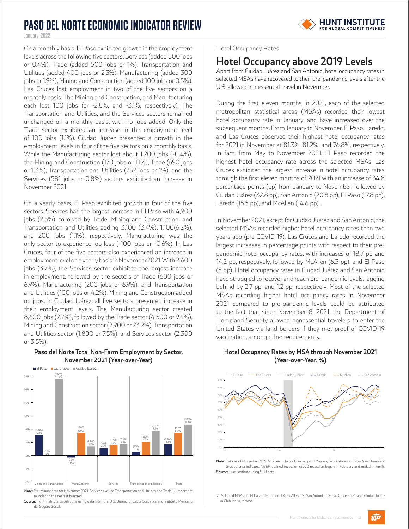### **PASO DEL NORTE ECONOMIC INDICATOR REVIEW**



January 2022

On a monthly basis, El Paso exhibited growth in the employment levels across the following five sectors, Services (added 800 jobs or 0.4%), Trade (added 500 jobs or 1%), Transportation and Utilities (added 400 jobs or 2.3%), Manufacturing (added 300 jobs or 1.9%), Mining and Construction (added 100 jobs or 0.5%). Las Cruces lost employment in two of the five sectors on a monthly basis. The Mining and Construction, and Manufacturing each lost 100 jobs (or -2.8%, and -3.1%, respectively). The Transportation and Utilities, and the Services sectors remained unchanged on a monthly basis, with no jobs added. Only the Trade sector exhibited an increase in the employment level of 100 jobs (1.1%). Ciudad Juárez presented a growth in the employment levels in four of the five sectors on a monthly basis. While the Manufacturing sector lost about 1,200 jobs (-0.4%), the Mining and Construction (170 jobs or 1.1%), Trade (690 jobs or 1.3%), Transportation and Utilities (252 jobs or 1%), and the Services (581 jobs or 0.8%) sectors exhibited an increase in November 2021.

On a yearly basis, El Paso exhibited growth in four of the five sectors. Services had the largest increase in El Paso with 4,900 jobs (2.3%), followed by Trade, Mining and Construction, and Transportation and Utilities adding 3,100 (3.4%), 1,100(6.2%), and 200 jobs (1.1%), respectively. Manufacturing was the only sector to experience job loss (-100 jobs or -0.6%). In Las Cruces, four of the five sectors also experienced an increase in employment level on a yearly basis in November 2021. With 2,600 jobs (3.7%), the Services sector exhibited the largest increase in employment, followed by the sectors of Trade (600 jobs or 6.9%), Manufacturing (200 jobs or 6.9%), and Transportation and Utilities (100 jobs or 4.2%). Mining and Construction added no jobs. In Ciudad Juárez, all five sectors presented increase in their employment levels. The Manufacturing sector created 8,600 jobs (2.7%), followed by the Trade sector (4,500 or 9.4%), Mining and Construction sector (2,900 or 23.2%), Transportation and Utilities sector (1,800 or 7.5%), and Services sector (2,300 or 3.5%).



**Paso del Norte Total Non-Farm Employment by Sector, November 2021 (Year-over-Year)** 

**Source:** Hunt Institute calculations using data from the U.S. Bureau of Labor Statistics and Instituto Mexicano del Seguro Social.

#### Hotel Occupancy Rates

### **Hotel Occupancy above 2019 Levels**

Apart from Ciudad Juárez and San Antonio, hotel occupancy rates in selected MSAs have recovered to their pre-pandemic levels after the U.S. allowed nonessential travel in November.

During the first eleven months in 2021, each of the selected metropolitan statistical areas (MSAs) recorded their lowest hotel occupancy rate in January, and have increased over the subsequent months. From January to November, El Paso, Laredo, and Las Cruces observed their highest hotel occupancy rates for 2021 in November at 81.3%, 81.2%, and 76.8%, respectively. In fact, from May to November 2021, El Paso recorded the highest hotel occupancy rate across the selected MSAs. Las Cruces exhibited the largest increase in hotel occupancy rates through the first eleven months of 2021 with an increase of 34.8 percentage points (pp) from January to November, followed by Ciudad Juárez (32.8 pp), San Antonio (20.8 pp), El Paso (17.8 pp), Laredo (15.5 pp), and McAllen (14.6 pp).

In November 2021, except for Ciudad Juarez and San Antonio, the selected MSAs recorded higher hotel occupancy rates than two years ago (pre COVID-19). Las Cruces and Laredo recorded the largest increases in percentage points with respect to their prepandemic hotel occupancy rates, with increases of 18.7 pp and 14.2 pp, respectively, followed by McAllen (6.3 pp), and El Paso (5 pp). Hotel occupancy rates in Ciudad Juárez and San Antonio have struggled to recover and reach pre-pandemic levels, lagging behind by 2.7 pp, and 1.2 pp, respectively. Most of the selected MSAs recording higher hotel occupancy rates in November 2021 compared to pre-pandemic levels could be attributed to the fact that since November 8, 2021, the Department of Homeland Security allowed nonessential travelers to enter the United States via land borders if they met proof of COVID-19 vaccination, among other requirements.

#### **Hotel Occupancy Rates by MSA through November 2021 (Year-over-Year, %)**



**Note:** Data as of November 2021. McAllen includes Edinburg and Mission; San Antonio includes New Braunfels. Shaded area indicates NBER defined recession (2020 recession began in February and ended in April). **Source:** Hunt Institute using STR data.

2 Selected MSAs are El Paso, TX; Laredo, TX; McAllen, TX; San Antonio, TX; Las Cruces, NM; and, Ciudad Juárez in Chihuahua, Mexico.

 $\widehat{U\mathsf{E}^p}$ 

**Note:** Preliminary data for November 2021. Services exclude Transportation and Utilities and Trade. Numbers are rounded to the nearest hundred.